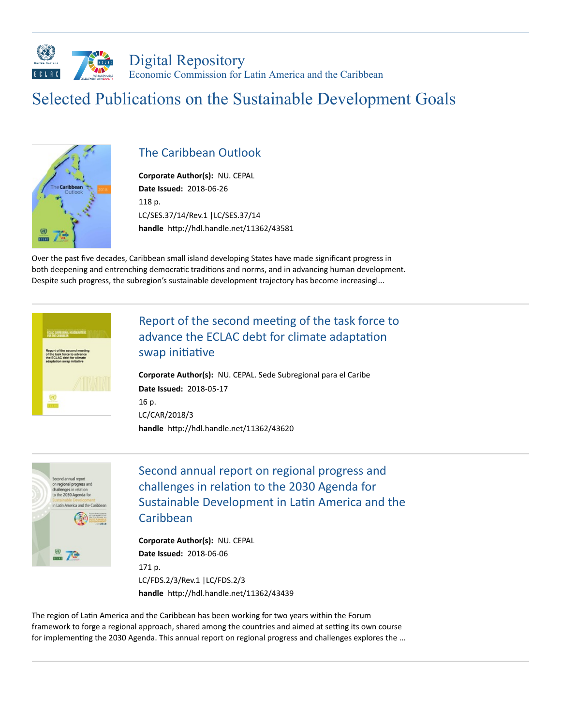

# Selected Publications on the Sustainable Development Goals



### [The Caribbean Outlook](https://repositorio.cepal.org/handle/11362/43581)

**Corporate Author(s):** NU. [CEPAL](https://repositorio.cepal.org/discover?filtertype_1=author&filter_relational_operator_1=equals&filter_1=NU.%20CEPAL&submit_apply_filter=Aplicar) **Date Issued:** 2018-06-26 118 p. [LC/SES.37/14/Rev.1](https://repositorio.cepal.org/discover?filtertype_1=unsymbol&filter_relational_operator_1=equals&filter_1=LC/SES.37/14/Rev.1&submit_apply_filter=Aplicar) |[LC/SES.37/14](https://repositorio.cepal.org/discover?filtertype_1=unsymbol&filter_relational_operator_1=equals&filter_1=LC/SES.37/14&submit_apply_filter=Aplicar) handle http://hdl.handle.net/11362/43581

Over the past five decades, Caribbean small island developing States have made significant progress in both deepening and entrenching democratic traditions and norms, and in advancing human development. Despite such progress, the subregion's sustainable development trajectory has become increasingl...



# Report of the second meeting of the task force to advance the ECLAC debt for climate adaptation swap initiative

**Corporate Author(s):** NU. CEPAL. Sede [Subregional](https://repositorio.cepal.org/discover?filtertype_1=author&filter_relational_operator_1=equals&filter_1=NU.%20CEPAL.%20Sede%20Subregional%20para%20el%20Caribe&submit_apply_filter=Aplicar) para el Caribe **Date Issued:** 2018-05-17 16 p. [LC/CAR/2018/3](https://repositorio.cepal.org/discover?filtertype_1=unsymbol&filter_relational_operator_1=equals&filter_1=LC/CAR/2018/3&submit_apply_filter=Aplicar) handle http://hdl.handle.net/11362/43620



Second annual report on regional progress and challenges in relation to the 2030 Agenda for Sustainable Development in Latin America and the Caribbean

**Corporate Author(s):** NU. [CEPAL](https://repositorio.cepal.org/discover?filtertype_1=author&filter_relational_operator_1=equals&filter_1=NU.%20CEPAL&submit_apply_filter=Aplicar) **Date Issued:** 2018-06-06 171 p. [LC/FDS.2/3/Rev.1](https://repositorio.cepal.org/discover?filtertype_1=unsymbol&filter_relational_operator_1=equals&filter_1=LC/FDS.2/3/Rev.1&submit_apply_filter=Aplicar) [|LC/FDS.2/3](https://repositorio.cepal.org/discover?filtertype_1=unsymbol&filter_relational_operator_1=equals&filter_1=LC/FDS.2/3&submit_apply_filter=Aplicar) handle http://hdl.handle.net/11362/43439

The region of Latin America and the Caribbean has been working for two years within the Forum framework to forge a regional approach, shared among the countries and aimed at setting its own course for implementing the 2030 Agenda. This annual report on regional progress and challenges explores the ...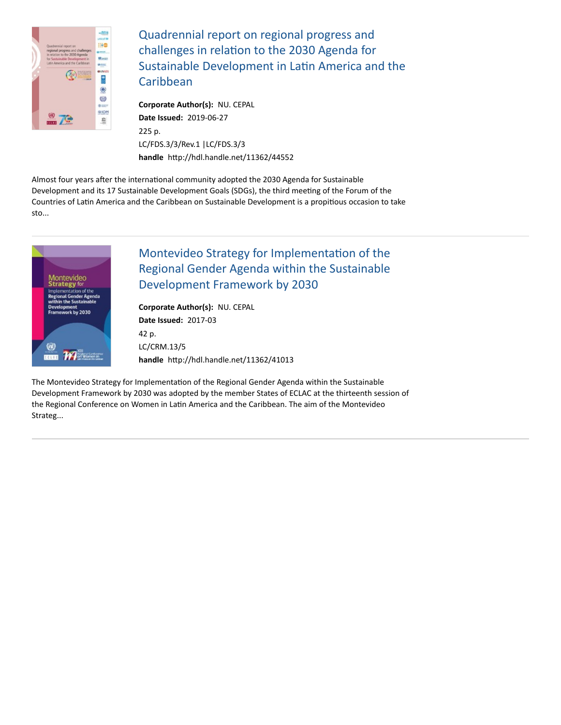

Quadrennial report on regional progress and challenges in relation to the 2030 Agenda for Sustainable Development in Latin America and the **Caribbean** 

**Corporate Author(s):** NU. [CEPAL](https://repositorio.cepal.org/discover?filtertype_1=author&filter_relational_operator_1=equals&filter_1=NU.%20CEPAL&submit_apply_filter=Aplicar) **Date Issued:** 2019-06-27 225 p. [LC/FDS.3/3/Rev.1](https://repositorio.cepal.org/discover?filtertype_1=unsymbol&filter_relational_operator_1=equals&filter_1=LC/FDS.3/3/Rev.1&submit_apply_filter=Aplicar) [|LC/FDS.3/3](https://repositorio.cepal.org/discover?filtertype_1=unsymbol&filter_relational_operator_1=equals&filter_1=LC/FDS.3/3&submit_apply_filter=Aplicar) handle http://hdl.handle.net/11362/44552

Almost four years after the international community adopted the 2030 Agenda for Sustainable Development and its 17 Sustainable Development Goals (SDGs), the third meeting of the Forum of the Countries of Latin America and the Caribbean on Sustainable Development is a propitious occasion to take sto...



# Montevideo Strategy for Implementation of the Regional Gender Agenda within the Sustainable Development Framework by 2030

**Corporate Author(s):** NU. [CEPAL](https://repositorio.cepal.org/discover?filtertype_1=author&filter_relational_operator_1=equals&filter_1=NU.%20CEPAL&submit_apply_filter=Aplicar) **Date Issued:** 2017-03 42 p. [LC/CRM.13/5](https://repositorio.cepal.org/discover?filtertype_1=unsymbol&filter_relational_operator_1=equals&filter_1=LC/CRM.13/5&submit_apply_filter=Aplicar) handle http://hdl.handle.net/11362/41013

The Montevideo Strategy for Implementation of the Regional Gender Agenda within the Sustainable Development Framework by 2030 was adopted by the member States of ECLAC at the thirteenth session of the Regional Conference on Women in Latin America and the Caribbean. The aim of the Montevideo Strateg...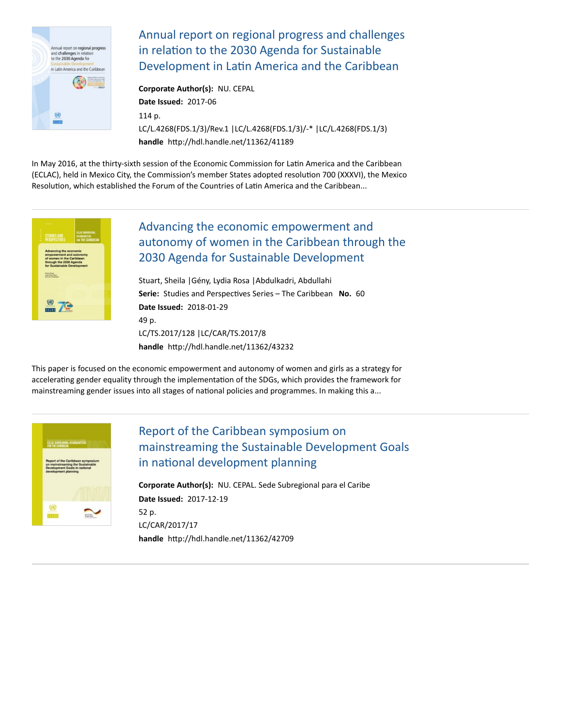

[Annual report on regional progress and challenges](https://repositorio.cepal.org/handle/11362/41189) in relation to the 2030 Agenda for Sustainable Development in Latin America and the Caribbean

**Corporate Author(s):** NU. [CEPAL](https://repositorio.cepal.org/discover?filtertype_1=author&filter_relational_operator_1=equals&filter_1=NU.%20CEPAL&submit_apply_filter=Aplicar) **Date Issued:** 2017-06 114 p. [LC/L.4268\(FDS.1/3\)/Rev.1](https://repositorio.cepal.org/discover?filtertype_1=unsymbol&filter_relational_operator_1=equals&filter_1=LC/L.4268(FDS.1/3)/Rev.1&submit_apply_filter=Aplicar) [|LC/L.4268\(FDS.1/3\)/-\\*](https://repositorio.cepal.org/discover?filtertype_1=unsymbol&filter_relational_operator_1=equals&filter_1=LC/L.4268(FDS.1/3)/-*&submit_apply_filter=Aplicar) |[LC/L.4268\(FDS.1/3\)](https://repositorio.cepal.org/discover?filtertype_1=unsymbol&filter_relational_operator_1=equals&filter_1=LC/L.4268(FDS.1/3)&submit_apply_filter=Aplicar) handle http://hdl.handle.net/11362/41189

In May 2016, at the thirty-sixth session of the Economic Commission for Latin America and the Caribbean (ECLAC), held in Mexico City, the Commission's member States adopted resolution 700 (XXXVI), the Mexico Resolution, which established the Forum of the Countries of Latin America and the Caribbean...



# Advancing the economic empowerment and [autonomy of women in the Caribbean through the](https://repositorio.cepal.org/handle/11362/43232) 2030 Agenda for Sustainable Development

[Stuart,](https://repositorio.cepal.org/discover?filtertype_1=author&filter_relational_operator_1=equals&filter_1=Stuart,%20Sheila&submit_apply_filter=Aplicar) Sheila [|Gény,](https://repositorio.cepal.org/discover?filtertype_1=author&filter_relational_operator_1=equals&filter_1=G%C3%A9ny,%20Lydia%20Rosa&submit_apply_filter=Aplicar) Lydia Rosa [|Abdulkadri,](https://repositorio.cepal.org/discover?filtertype_1=author&filter_relational_operator_1=equals&filter_1=Abdulkadri,%20Abdullahi&submit_apply_filter=Aplicar) Abdullahi Serie: Studies and Perspectives Series - The Caribbean No. 60 **Date Issued:** 2018-01-29 49 p. [LC/TS.2017/128](https://repositorio.cepal.org/discover?filtertype_1=unsymbol&filter_relational_operator_1=equals&filter_1=LC/TS.2017/128&submit_apply_filter=Aplicar) [|LC/CAR/TS.2017/8](https://repositorio.cepal.org/discover?filtertype_1=unsymbol&filter_relational_operator_1=equals&filter_1=LC/CAR/TS.2017/8&submit_apply_filter=Aplicar) handle http://hdl.handle.net/11362/43232

This paper is focused on the economic empowerment and autonomy of women and girls as a strategy for accelerating gender equality through the implementation of the SDGs, which provides the framework for mainstreaming gender issues into all stages of national policies and programmes. In making this a...



# Report of the Caribbean symposium on [mainstreaming the Sustainable Development Goals](https://repositorio.cepal.org/handle/11362/42709) in national development planning

**Corporate Author(s):** NU. CEPAL. Sede [Subregional](https://repositorio.cepal.org/discover?filtertype_1=author&filter_relational_operator_1=equals&filter_1=NU.%20CEPAL.%20Sede%20Subregional%20para%20el%20Caribe&submit_apply_filter=Aplicar) para el Caribe **Date Issued:** 2017-12-19 52 p. [LC/CAR/2017/17](https://repositorio.cepal.org/discover?filtertype_1=unsymbol&filter_relational_operator_1=equals&filter_1=LC/CAR/2017/17&submit_apply_filter=Aplicar) handle http://hdl.handle.net/11362/42709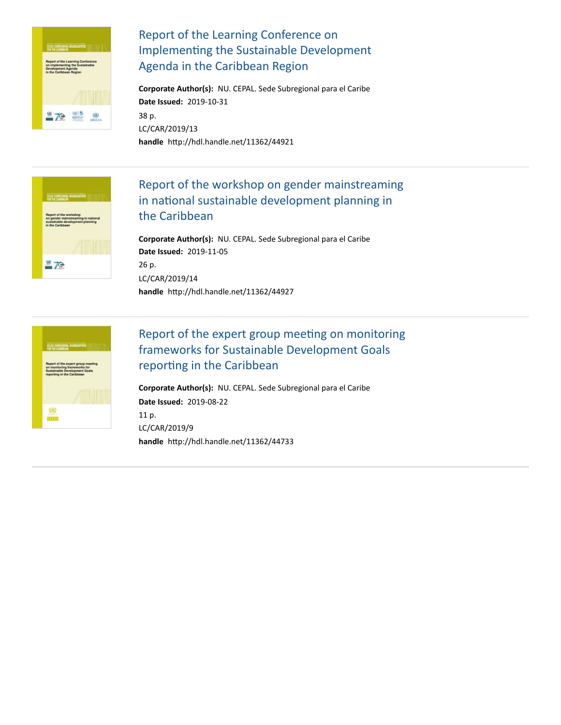

# Report of the Learning Conference on Implementing the Sustainable Development Agenda in the Caribbean Region

**Corporate Author(s):** NU. CEPAL. Sede [Subregional](https://repositorio.cepal.org/discover?filtertype_1=author&filter_relational_operator_1=equals&filter_1=NU.%20CEPAL.%20Sede%20Subregional%20para%20el%20Caribe&submit_apply_filter=Aplicar) para el Caribe **Date Issued:** 2019-10-31 38 p. [LC/CAR/2019/13](https://repositorio.cepal.org/discover?filtertype_1=unsymbol&filter_relational_operator_1=equals&filter_1=LC/CAR/2019/13&submit_apply_filter=Aplicar) handle http://hdl.handle.net/11362/44921



### [Report of the workshop on gender mainstreaming](https://repositorio.cepal.org/handle/11362/44927) in national sustainable development planning in the Caribbean

**Corporate Author(s):** NU. CEPAL. Sede [Subregional](https://repositorio.cepal.org/discover?filtertype_1=author&filter_relational_operator_1=equals&filter_1=NU.%20CEPAL.%20Sede%20Subregional%20para%20el%20Caribe&submit_apply_filter=Aplicar) para el Caribe **Date Issued:** 2019-11-05 26 p. [LC/CAR/2019/14](https://repositorio.cepal.org/discover?filtertype_1=unsymbol&filter_relational_operator_1=equals&filter_1=LC/CAR/2019/14&submit_apply_filter=Aplicar) handle http://hdl.handle.net/11362/44927



# Report of the expert group meeting on monitoring frameworks for Sustainable Development Goals reporting in the Caribbean

**Corporate Author(s):** NU. CEPAL. Sede [Subregional](https://repositorio.cepal.org/discover?filtertype_1=author&filter_relational_operator_1=equals&filter_1=NU.%20CEPAL.%20Sede%20Subregional%20para%20el%20Caribe&submit_apply_filter=Aplicar) para el Caribe **Date Issued:** 2019-08-22 11 p. [LC/CAR/2019/9](https://repositorio.cepal.org/discover?filtertype_1=unsymbol&filter_relational_operator_1=equals&filter_1=LC/CAR/2019/9&submit_apply_filter=Aplicar) handle http://hdl.handle.net/11362/44733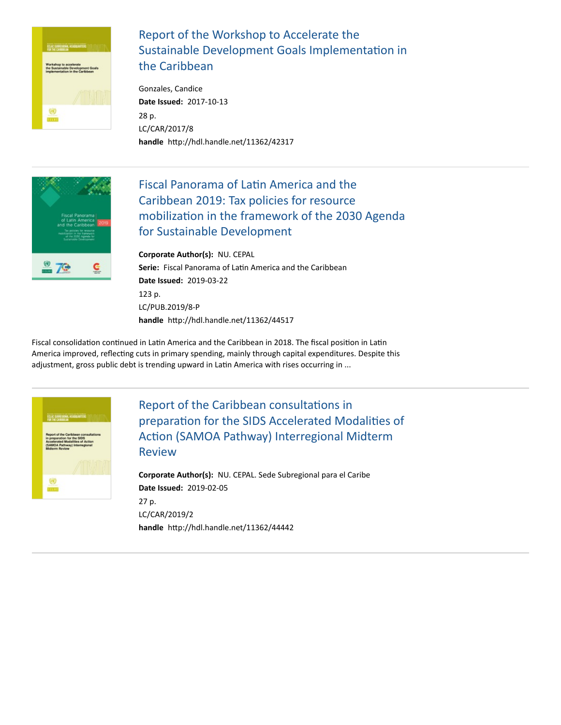

# Report of the Workshop to Accelerate the Sustainable Development Goals Implementation in the Caribbean

[Gonzales,](https://repositorio.cepal.org/discover?filtertype_1=author&filter_relational_operator_1=equals&filter_1=Gonzales,%20Candice&submit_apply_filter=Aplicar) Candice **Date Issued:** 2017-10-13 28 p. [LC/CAR/2017/8](https://repositorio.cepal.org/discover?filtertype_1=unsymbol&filter_relational_operator_1=equals&filter_1=LC/CAR/2017/8&submit_apply_filter=Aplicar) handle http://hdl.handle.net/11362/42317



# Fiscal Panorama of Latin America and the Caribbean 2019: Tax policies for resource mobilization in the framework of the 2030 Agenda for Sustainable Development

**Corporate Author(s):** NU. [CEPAL](https://repositorio.cepal.org/discover?filtertype_1=author&filter_relational_operator_1=equals&filter_1=NU.%20CEPAL&submit_apply_filter=Aplicar) **Serie:** Fiscal Panorama of Latin America and the [Caribbean](https://repositorio.cepal.org/discover?filtertype_1=relation&filter_relational_operator_1=equals&filter_1=Fiscal%20Panorama%20of%20Latin%20America%20and%20the%20Caribbean&submit_apply_filter=Aplicar) **Date Issued:** 2019-03-22 123 p. [LC/PUB.2019/8-P](https://repositorio.cepal.org/discover?filtertype_1=unsymbol&filter_relational_operator_1=equals&filter_1=LC/PUB.2019/8-P&submit_apply_filter=Aplicar) handle http://hdl.handle.net/11362/44517

Fiscal consolidation continued in Latin America and the Caribbean in 2018. The fiscal position in Latin America improved, reflecting cuts in primary spending, mainly through capital expenditures. Despite this adjustment, gross public debt is trending upward in Latin America with rises occurring in ...



Report of the Caribbean consultations in preparation for the SIDS Accelerated Modalities of Action (SAMOA Pathway) Interregional Midterm Review

**Corporate Author(s):** NU. CEPAL. Sede [Subregional](https://repositorio.cepal.org/discover?filtertype_1=author&filter_relational_operator_1=equals&filter_1=NU.%20CEPAL.%20Sede%20Subregional%20para%20el%20Caribe&submit_apply_filter=Aplicar) para el Caribe **Date Issued:** 2019-02-05 27 p. [LC/CAR/2019/2](https://repositorio.cepal.org/discover?filtertype_1=unsymbol&filter_relational_operator_1=equals&filter_1=LC/CAR/2019/2&submit_apply_filter=Aplicar) handle http://hdl.handle.net/11362/44442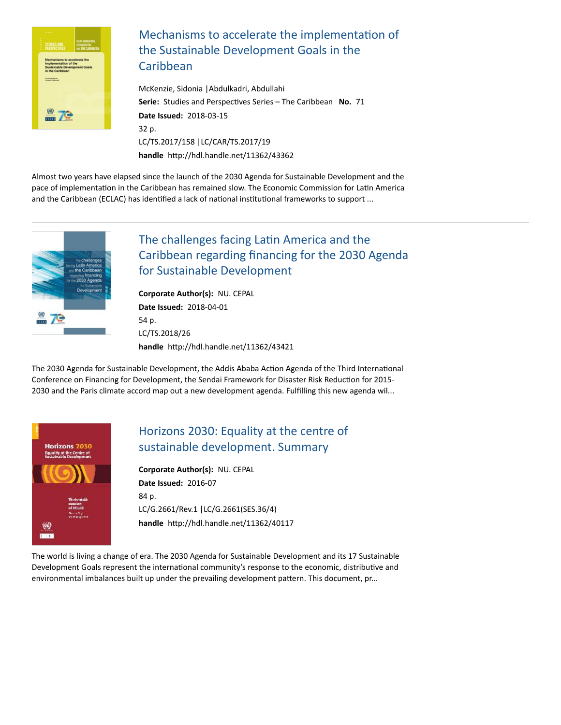

#### Mechanisms to accelerate the implementation of the Sustainable Development Goals in the Caribbean

[McKenzie,](https://repositorio.cepal.org/discover?filtertype_1=author&filter_relational_operator_1=equals&filter_1=McKenzie,%20Sidonia&submit_apply_filter=Aplicar) Sidonia [|Abdulkadri,](https://repositorio.cepal.org/discover?filtertype_1=author&filter_relational_operator_1=equals&filter_1=Abdulkadri,%20Abdullahi&submit_apply_filter=Aplicar) Abdullahi **Serie:** Studies and Perspectives Series – The Caribbean **No.** 71 **Date Issued:** 2018-03-15 32 p. [LC/TS.2017/158](https://repositorio.cepal.org/discover?filtertype_1=unsymbol&filter_relational_operator_1=equals&filter_1=LC/TS.2017/158&submit_apply_filter=Aplicar) [|LC/CAR/TS.2017/19](https://repositorio.cepal.org/discover?filtertype_1=unsymbol&filter_relational_operator_1=equals&filter_1=LC/CAR/TS.2017/19&submit_apply_filter=Aplicar) handle http://hdl.handle.net/11362/43362

Almost two years have elapsed since the launch of the 2030 Agenda for Sustainable Development and the pace of implementation in the Caribbean has remained slow. The Economic Commission for Latin America and the Caribbean (ECLAC) has identified a lack of national institutional frameworks to support ...



# The challenges facing Latin America and the [Caribbean regarding financing for the 2030 Agenda](https://repositorio.cepal.org/handle/11362/43421) for Sustainable Development

**Corporate Author(s):** NU. [CEPAL](https://repositorio.cepal.org/discover?filtertype_1=author&filter_relational_operator_1=equals&filter_1=NU.%20CEPAL&submit_apply_filter=Aplicar) **Date Issued:** 2018-04-01 54 p. [LC/TS.2018/26](https://repositorio.cepal.org/discover?filtertype_1=unsymbol&filter_relational_operator_1=equals&filter_1=LC/TS.2018/26&submit_apply_filter=Aplicar) handle http://hdl.handle.net/11362/43421

The 2030 Agenda for Sustainable Development, the Addis Ababa Action Agenda of the Third International Conference on Financing for Development, the Sendai Framework for Disaster Risk Reduction for 2015-2030 and the Paris climate accord map out a new development agenda. Fulfilling this new agenda wil...



# [Horizons 2030: Equality at the centre of](https://repositorio.cepal.org/handle/11362/40117) sustainable development. Summary

**Corporate Author(s):** NU. [CEPAL](https://repositorio.cepal.org/discover?filtertype_1=author&filter_relational_operator_1=equals&filter_1=NU.%20CEPAL&submit_apply_filter=Aplicar) **Date Issued:** 2016-07 84 p. [LC/G.2661/Rev.1](https://repositorio.cepal.org/discover?filtertype_1=unsymbol&filter_relational_operator_1=equals&filter_1=LC/G.2661/Rev.1&submit_apply_filter=Aplicar) [|LC/G.2661\(SES.36/4\)](https://repositorio.cepal.org/discover?filtertype_1=unsymbol&filter_relational_operator_1=equals&filter_1=LC/G.2661(SES.36/4)&submit_apply_filter=Aplicar) handle http://hdl.handle.net/11362/40117

The world is living a change of era. The 2030 Agenda for Sustainable Development and its 17 Sustainable Development Goals represent the international community's response to the economic, distributive and environmental imbalances built up under the prevailing development pattern. This document, pr...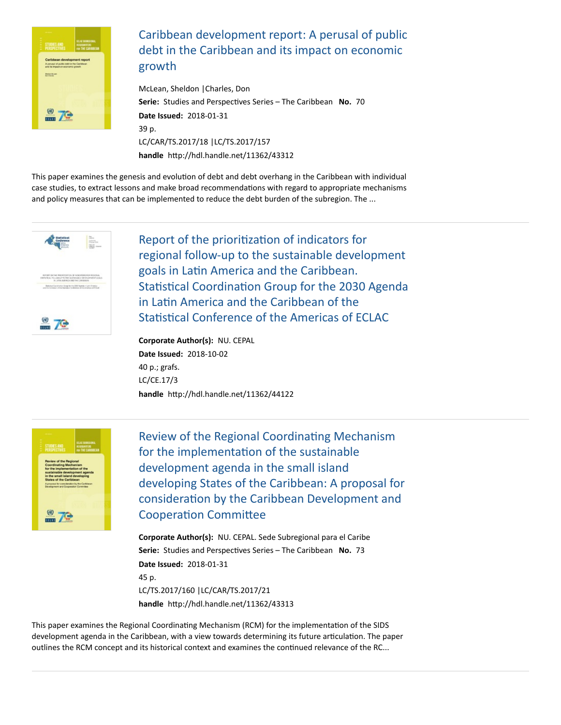

# [Caribbean development report: A perusal of public](https://repositorio.cepal.org/handle/11362/43312) debt in the Caribbean and its impact on economic growth

[McLean,](https://repositorio.cepal.org/discover?filtertype_1=author&filter_relational_operator_1=equals&filter_1=McLean,%20Sheldon&submit_apply_filter=Aplicar) Sheldon [|Charles,](https://repositorio.cepal.org/discover?filtertype_1=author&filter_relational_operator_1=equals&filter_1=Charles,%20Don&submit_apply_filter=Aplicar) Don **Serie:** Studies and Perspectives Series – The Caribbean **No.** 70 **Date Issued:** 2018-01-31 39 p. [LC/CAR/TS.2017/18](https://repositorio.cepal.org/discover?filtertype_1=unsymbol&filter_relational_operator_1=equals&filter_1=LC/CAR/TS.2017/18&submit_apply_filter=Aplicar) [|LC/TS.2017/157](https://repositorio.cepal.org/discover?filtertype_1=unsymbol&filter_relational_operator_1=equals&filter_1=LC/TS.2017/157&submit_apply_filter=Aplicar) handle http://hdl.handle.net/11362/43312

This paper examines the genesis and evolution of debt and debt overhang in the Caribbean with individual case studies, to extract lessons and make broad recommendations with regard to appropriate mechanisms and policy measures that can be implemented to reduce the debt burden of the subregion. The ...



Report of the prioritization of indicators for regional follow-up to the sustainable development goals in Latin America and the Caribbean. Statistical Coordination Group for the 2030 Agenda in Latin America and the Caribbean of the Statistical Conference of the Americas of ECLAC

**Corporate Author(s):** NU. [CEPAL](https://repositorio.cepal.org/discover?filtertype_1=author&filter_relational_operator_1=equals&filter_1=NU.%20CEPAL&submit_apply_filter=Aplicar) **Date Issued:** 2018-10-02 40 p.; grafs. [LC/CE.17/3](https://repositorio.cepal.org/discover?filtertype_1=unsymbol&filter_relational_operator_1=equals&filter_1=LC/CE.17/3&submit_apply_filter=Aplicar) handle http://hdl.handle.net/11362/44122



Review of the Regional Coordinating Mechanism for the implementation of the sustainable development agenda in the small island [developing States of the Caribbean: A proposal for](https://repositorio.cepal.org/handle/11362/43313) consideration by the Caribbean Development and **Cooperation Committee** 

**Corporate Author(s):** NU. CEPAL. Sede [Subregional](https://repositorio.cepal.org/discover?filtertype_1=author&filter_relational_operator_1=equals&filter_1=NU.%20CEPAL.%20Sede%20Subregional%20para%20el%20Caribe&submit_apply_filter=Aplicar) para el Caribe **Serie:** Studies and Perspectives Series – The Caribbean **No.** 73 **Date Issued:** 2018-01-31 45 p. [LC/TS.2017/160](https://repositorio.cepal.org/discover?filtertype_1=unsymbol&filter_relational_operator_1=equals&filter_1=LC/TS.2017/160&submit_apply_filter=Aplicar) [|LC/CAR/TS.2017/21](https://repositorio.cepal.org/discover?filtertype_1=unsymbol&filter_relational_operator_1=equals&filter_1=LC/CAR/TS.2017/21&submit_apply_filter=Aplicar) handle http://hdl.handle.net/11362/43313

This paper examines the Regional Coordinating Mechanism (RCM) for the implementation of the SIDS development agenda in the Caribbean, with a view towards determining its future articulation. The paper outlines the RCM concept and its historical context and examines the continued relevance of the RC...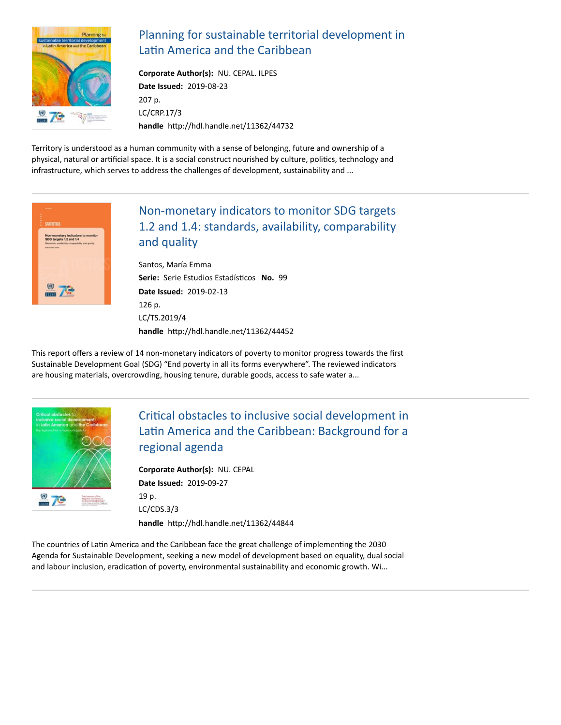

# [Planning for sustainable territorial development in](https://repositorio.cepal.org/handle/11362/44732) Latin America and the Caribbean

**Corporate Author(s):** NU. [CEPAL.](https://repositorio.cepal.org/discover?filtertype_1=author&filter_relational_operator_1=equals&filter_1=NU.%20CEPAL.%20ILPES&submit_apply_filter=Aplicar) ILPES **Date Issued:** 2019-08-23 207 p. [LC/CRP.17/3](https://repositorio.cepal.org/discover?filtertype_1=unsymbol&filter_relational_operator_1=equals&filter_1=LC/CRP.17/3&submit_apply_filter=Aplicar) handle http://hdl.handle.net/11362/44732

Territory is understood as a human community with a sense of belonging, future and ownership of a physical, natural or artificial space. It is a social construct nourished by culture, politics, technology and infrastructure, which serves to address the challenges of development, sustainability and ...



# Non-monetary indicators to monitor SDG targets [1.2 and 1.4: standards, availability, comparability](https://repositorio.cepal.org/handle/11362/44452) and quality

[Santos,](https://repositorio.cepal.org/discover?filtertype_1=author&filter_relational_operator_1=equals&filter_1=Santos,%20Mar%C3%ADa%20Emma&submit_apply_filter=Aplicar) María Emma **Serie:** Serie Estudios Estadísticos **No.** 99 **Date Issued:** 2019-02-13 126 p. [LC/TS.2019/4](https://repositorio.cepal.org/discover?filtertype_1=unsymbol&filter_relational_operator_1=equals&filter_1=LC/TS.2019/4&submit_apply_filter=Aplicar) handle http://hdl.handle.net/11362/44452

This report offers a review of 14 non-monetary indicators of poverty to monitor progress towards the first Sustainable Development Goal (SDG) "End poverty in all its forms everywhere". The reviewed indicators are housing materials, overcrowding, housing tenure, durable goods, access to safe water a...



# Critical obstacles to inclusive social development in Latin America and the Caribbean: Background for a regional agenda

**Corporate Author(s):** NU. [CEPAL](https://repositorio.cepal.org/discover?filtertype_1=author&filter_relational_operator_1=equals&filter_1=NU.%20CEPAL&submit_apply_filter=Aplicar) **Date Issued:** 2019-09-27 19 p. [LC/CDS.3/3](https://repositorio.cepal.org/discover?filtertype_1=unsymbol&filter_relational_operator_1=equals&filter_1=LC/CDS.3/3&submit_apply_filter=Aplicar) handle http://hdl.handle.net/11362/44844

The countries of Latin America and the Caribbean face the great challenge of implementing the 2030 Agenda for Sustainable Development, seeking a new model of development based on equality, dual social and labour inclusion, eradication of poverty, environmental sustainability and economic growth. Wi...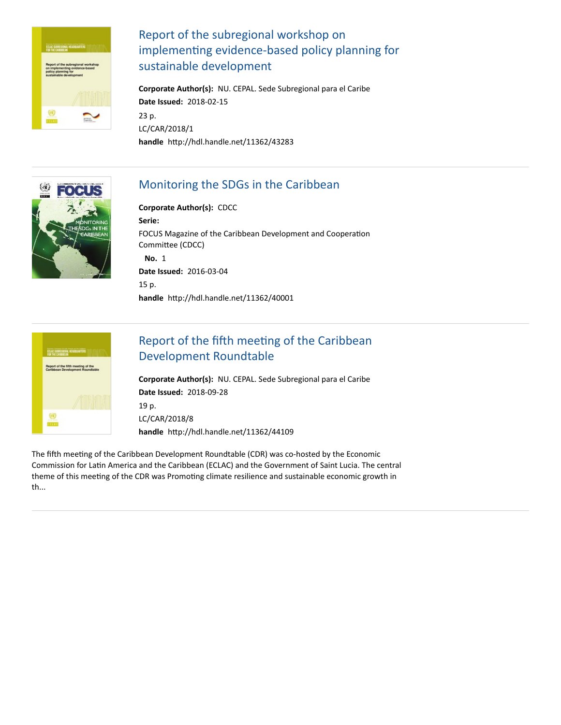

# Report of the subregional workshop on implementing evidence-based policy planning for sustainable development

**Corporate Author(s):** NU. CEPAL. Sede [Subregional](https://repositorio.cepal.org/discover?filtertype_1=author&filter_relational_operator_1=equals&filter_1=NU.%20CEPAL.%20Sede%20Subregional%20para%20el%20Caribe&submit_apply_filter=Aplicar) para el Caribe **Date Issued:** 2018-02-15 23 p. [LC/CAR/2018/1](https://repositorio.cepal.org/discover?filtertype_1=unsymbol&filter_relational_operator_1=equals&filter_1=LC/CAR/2018/1&submit_apply_filter=Aplicar) handle http://hdl.handle.net/11362/43283



# [Monitoring the SDGs in the Caribbean](https://repositorio.cepal.org/handle/11362/40001)

#### **Corporate Author(s):** [CDCC](https://repositorio.cepal.org/discover?filtertype_1=author&filter_relational_operator_1=equals&filter_1=CDCC&submit_apply_filter=Aplicar)

**Serie:** FOCUS Magazine of the Caribbean [Development](https://repositorio.cepal.org/discover?filtertype_1=relation&filter_relational_operator_1=equals&filter_1=FOCUS%20Magazine%20of%20the%20Caribbean%20Development%20and%20Cooperation%20Committee%20(CDCC)&submit_apply_filter=Aplicar) and Cooperation Committee (CDCC) **No.** 1 **Date Issued:** 2016-03-04 15 p. handle http://hdl.handle.net/11362/40001



# Report of the fifth meeting of the Caribbean Development Roundtable

**Corporate Author(s):** NU. CEPAL. Sede [Subregional](https://repositorio.cepal.org/discover?filtertype_1=author&filter_relational_operator_1=equals&filter_1=NU.%20CEPAL.%20Sede%20Subregional%20para%20el%20Caribe&submit_apply_filter=Aplicar) para el Caribe **Date Issued:** 2018-09-28 19 p. [LC/CAR/2018/8](https://repositorio.cepal.org/discover?filtertype_1=unsymbol&filter_relational_operator_1=equals&filter_1=LC/CAR/2018/8&submit_apply_filter=Aplicar) handle http://hdl.handle.net/11362/44109

The fifth meeting of the Caribbean Development Roundtable (CDR) was co-hosted by the Economic Commission for Latin America and the Caribbean (ECLAC) and the Government of Saint Lucia. The central theme of this meeting of the CDR was Promoting climate resilience and sustainable economic growth in th...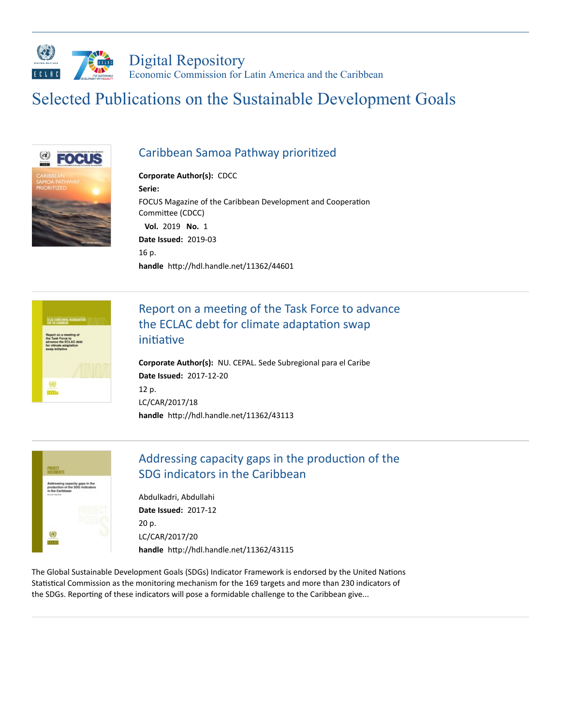

# Selected Publications on the Sustainable Development Goals



#### Caribbean Samoa Pathway prioritized

**Corporate Author(s):** [CDCC](https://repositorio.cepal.org/discover?filtertype_1=author&filter_relational_operator_1=equals&filter_1=CDCC&submit_apply_filter=Aplicar) **Serie:** FOCUS Magazine of the Caribbean [Development](https://repositorio.cepal.org/discover?filtertype_1=relation&filter_relational_operator_1=equals&filter_1=FOCUS%20Magazine%20of%20the%20Caribbean%20Development%20and%20Cooperation%20Committee%20(CDCC)&submit_apply_filter=Aplicar) and Cooperation Committee (CDCC) **Vol.** 2019 **No.** 1 **Date Issued:** 2019-03 16 p. handle http://hdl.handle.net/11362/44601



# Report on a meeting of the Task Force to advance the ECLAC debt for climate adaptation swap initiative

**Corporate Author(s):** NU. CEPAL. Sede [Subregional](https://repositorio.cepal.org/discover?filtertype_1=author&filter_relational_operator_1=equals&filter_1=NU.%20CEPAL.%20Sede%20Subregional%20para%20el%20Caribe&submit_apply_filter=Aplicar) para el Caribe **Date Issued:** 2017-12-20 12 p. [LC/CAR/2017/18](https://repositorio.cepal.org/discover?filtertype_1=unsymbol&filter_relational_operator_1=equals&filter_1=LC/CAR/2017/18&submit_apply_filter=Aplicar) handle http://hdl.handle.net/11362/43113



# Addressing capacity gaps in the production of the SDG indicators in the Caribbean

[Abdulkadri,](https://repositorio.cepal.org/discover?filtertype_1=author&filter_relational_operator_1=equals&filter_1=Abdulkadri,%20Abdullahi&submit_apply_filter=Aplicar) Abdullahi **Date Issued:** 2017-12 20 p. [LC/CAR/2017/20](https://repositorio.cepal.org/discover?filtertype_1=unsymbol&filter_relational_operator_1=equals&filter_1=LC/CAR/2017/20&submit_apply_filter=Aplicar) handle http://hdl.handle.net/11362/43115

The Global Sustainable Development Goals (SDGs) Indicator Framework is endorsed by the United Nations Statistical Commission as the monitoring mechanism for the 169 targets and more than 230 indicators of the SDGs. Reporting of these indicators will pose a formidable challenge to the Caribbean give...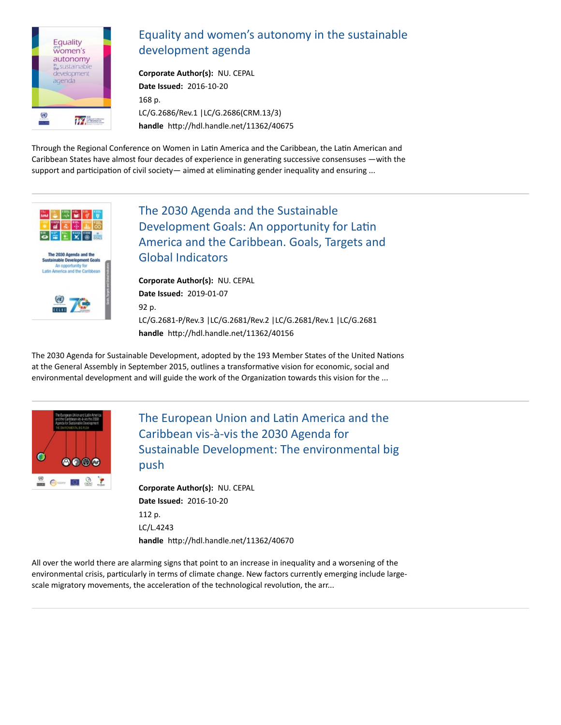

# [Equality and women's autonomy in the sustainable](https://repositorio.cepal.org/handle/11362/40675) development agenda

**Corporate Author(s):** NU. [CEPAL](https://repositorio.cepal.org/discover?filtertype_1=author&filter_relational_operator_1=equals&filter_1=NU.%20CEPAL&submit_apply_filter=Aplicar) **Date Issued:** 2016-10-20 168 p. [LC/G.2686/Rev.1](https://repositorio.cepal.org/discover?filtertype_1=unsymbol&filter_relational_operator_1=equals&filter_1=LC/G.2686/Rev.1&submit_apply_filter=Aplicar) [|LC/G.2686\(CRM.13/3\)](https://repositorio.cepal.org/discover?filtertype_1=unsymbol&filter_relational_operator_1=equals&filter_1=LC/G.2686(CRM.13/3)&submit_apply_filter=Aplicar) handle http://hdl.handle.net/11362/40675

Through the Regional Conference on Women in Latin America and the Caribbean, the Latin American and Caribbean States have almost four decades of experience in generating successive consensuses —with the support and participation of civil society— aimed at eliminating gender inequality and ensuring ...



The 2030 Agenda and the Sustainable Development Goals: An opportunity for Latin [America and the Caribbean. Goals, Targets and](https://repositorio.cepal.org/handle/11362/40156) Global Indicators

**Corporate Author(s):** NU. [CEPAL](https://repositorio.cepal.org/discover?filtertype_1=author&filter_relational_operator_1=equals&filter_1=NU.%20CEPAL&submit_apply_filter=Aplicar) **Date Issued:** 2019-01-07 92 p. [LC/G.2681-P/Rev.3](https://repositorio.cepal.org/discover?filtertype_1=unsymbol&filter_relational_operator_1=equals&filter_1=LC/G.2681-P/Rev.3&submit_apply_filter=Aplicar) |[LC/G.2681/Rev.2](https://repositorio.cepal.org/discover?filtertype_1=unsymbol&filter_relational_operator_1=equals&filter_1=LC/G.2681/Rev.2&submit_apply_filter=Aplicar) |[LC/G.2681/Rev.1](https://repositorio.cepal.org/discover?filtertype_1=unsymbol&filter_relational_operator_1=equals&filter_1=LC/G.2681/Rev.1&submit_apply_filter=Aplicar) |[LC/G.2681](https://repositorio.cepal.org/discover?filtertype_1=unsymbol&filter_relational_operator_1=equals&filter_1=LC/G.2681&submit_apply_filter=Aplicar) handle http://hdl.handle.net/11362/40156

The 2030 Agenda for Sustainable Development, adopted by the 193 Member States of the United Nations at the General Assembly in September 2015, outlines a transformative vision for economic, social and environmental development and will guide the work of the Organization towards this vision for the ...



The European Union and Latin America and the Caribbean vis-à-vis the 2030 Agenda for [Sustainable Development: The environmental big](https://repositorio.cepal.org/handle/11362/40670) push

**Corporate Author(s):** NU. [CEPAL](https://repositorio.cepal.org/discover?filtertype_1=author&filter_relational_operator_1=equals&filter_1=NU.%20CEPAL&submit_apply_filter=Aplicar) **Date Issued:** 2016-10-20 112 p. [LC/L.4243](https://repositorio.cepal.org/discover?filtertype_1=unsymbol&filter_relational_operator_1=equals&filter_1=LC/L.4243&submit_apply_filter=Aplicar) handle http://hdl.handle.net/11362/40670

All over the world there are alarming signs that point to an increase in inequality and a worsening of the environmental crisis, particularly in terms of climate change. New factors currently emerging include largescale migratory movements, the acceleration of the technological revolution, the arr...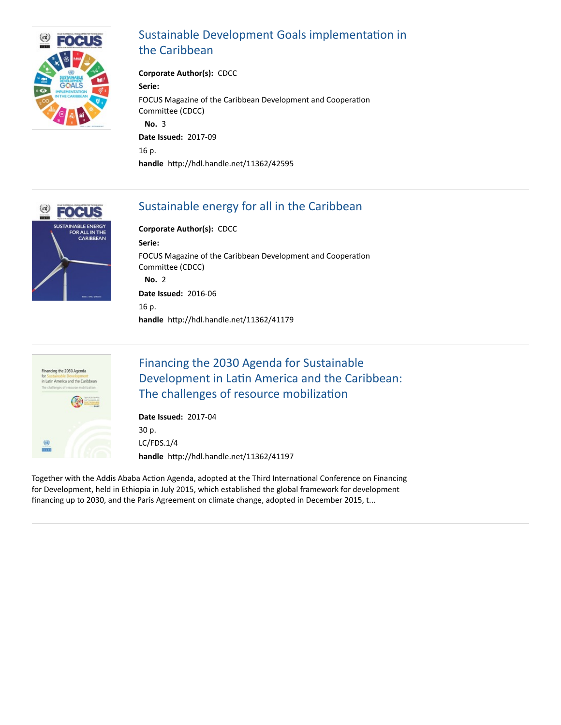

# Sustainable Development Goals implementation in the Caribbean

**Corporate Author(s):** [CDCC](https://repositorio.cepal.org/discover?filtertype_1=author&filter_relational_operator_1=equals&filter_1=CDCC&submit_apply_filter=Aplicar) **Serie:** FOCUS Magazine of the Caribbean [Development](https://repositorio.cepal.org/discover?filtertype_1=relation&filter_relational_operator_1=equals&filter_1=FOCUS%20Magazine%20of%20the%20Caribbean%20Development%20and%20Cooperation%20Committee%20(CDCC)&submit_apply_filter=Aplicar) and Cooperation Committee (CDCC) **No.** 3 **Date Issued:** 2017-09 16 p. handle http://hdl.handle.net/11362/42595



# [Sustainable energy for all in the Caribbean](https://repositorio.cepal.org/handle/11362/41179)

**Corporate Author(s):** [CDCC](https://repositorio.cepal.org/discover?filtertype_1=author&filter_relational_operator_1=equals&filter_1=CDCC&submit_apply_filter=Aplicar) **Serie:** FOCUS Magazine of the Caribbean [Development](https://repositorio.cepal.org/discover?filtertype_1=relation&filter_relational_operator_1=equals&filter_1=FOCUS%20Magazine%20of%20the%20Caribbean%20Development%20and%20Cooperation%20Committee%20(CDCC)&submit_apply_filter=Aplicar) and Cooperation Committee (CDCC) **No.** 2 **Date Issued:** 2016-06 16 p. handle http://hdl.handle.net/11362/41179



# Financing the 2030 Agenda for Sustainable Development in Latin America and the Caribbean: The challenges of resource mobilization

**Date Issued:** 2017-04 30 p. [LC/FDS.1/4](https://repositorio.cepal.org/discover?filtertype_1=unsymbol&filter_relational_operator_1=equals&filter_1=LC/FDS.1/4&submit_apply_filter=Aplicar) handle http://hdl.handle.net/11362/41197

Together with the Addis Ababa Action Agenda, adopted at the Third International Conference on Financing for Development, held in Ethiopia in July 2015, which established the global framework for development financing up to 2030, and the Paris Agreement on climate change, adopted in December 2015, t...